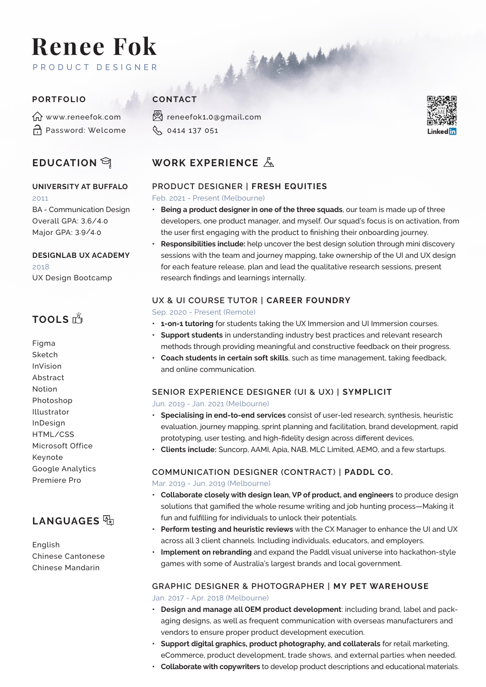# **Renee Fok**  PRODUCT DESIGNER PORTFOLIO<br>
PORTFOLIO<br>
GN WAVEN FORCE

m<sup>www.reneefok.com</sup> Password: Welcome

## **EDUCATION** <sup>a</sup>

# **UNIVERSITY AT BUFFALO**

2011 BA - Communication Design Overall GPA: 3.6/4.0 Major GPA: 3.9/4.0

**DESIGNLAB UX ACADEMY** 2018 UX Design Bootcamp

# **TOOLS**

Figma Sketch InVision Abstract Notion Photoshop Illustrator InDesign HTML/CSS Microsoft Office Keynote Google Analytics Premiere Pro

# **LANGUAGES**

English Chinese Cantonese Chinese Mandarin

reneefok1**.**0**@**gmail**.**com Q 0414 137 051



# **WORK EXPERIENCE**

### **PRODUCT DESIGNER | FRESH EQUITIES**

#### Feb. 2021 - Present (Melbourne)

- **• Being a product designer in one of the three squads**, our team is made up of three developers, one product manager, and myself. Our squad's focus is on activation, from the user first engaging with the product to finishing their onboarding journey.
- **• Responsibilities include:** help uncover the best design solution through mini discovery sessions with the team and journey mapping, take ownership of the UI and UX design for each feature release, plan and lead the qualitative research sessions, present research findings and learnings internally.

## **UX & UI COURSE TUTOR | CAREER FOUNDRY**

#### Sep. 2020 - Present (Remote)

- **• 1-on-1 tutoring** for students taking the UX Immersion and UI Immersion courses.
- **• Support students** in understanding industry best practices and relevant research methods through providing meaningful and constructive feedback on their progress.
- **• Coach students in certain soft skills**, such as time management, taking feedback, and online communication.

# **SENIOR EXPERIENCE DESIGNER (UI & UX) | SYMPLICIT**

#### Jun. 2019 - Jan. 2021 (Melbourne)

- **• Specialising in end-to-end services** consist of user-led research, synthesis, heuristic evaluation, journey mapping, sprint planning and facilitation, brand development, rapid prototyping, user testing, and high-fidelity design across different devices.
- **• Clients include:** Suncorp, AAMI, Apia, NAB, MLC Limited, AEMO, and a few startups.

### **COMMUNICATION DESIGNER (CONTRACT) | PADDL CO.**

Mar. 2019 - Jun. 2019 (Melbourne)

- **• Collaborate closely with design lean, VP of product, and engineers** to produce design solutions that gamified the whole resume writing and job hunting process—Making it fun and fulfilling for individuals to unlock their potentials.
- **• Perform testing and heuristic reviews** with the CX Manager to enhance the UI and UX across all 3 client channels. Including individuals, educators, and employers.
- **• Implement on rebranding** and expand the Paddl visual universe into hackathon-style games with some of Australia's largest brands and local government.

#### **GRAPHIC DESIGNER & PHOTOGRAPHER | MY PET WAREHOUSE**  Jan. 2017 - Apr. 2018 (Melbourne)

- **• Design and manage all OEM product development**: including brand, label and packaging designs, as well as frequent communication with overseas manufacturers and vendors to ensure proper product development execution.
- **• Support digital graphics, product photography, and collaterals** for retail marketing, eCommerce, product development, trade shows, and external parties when needed.
- **• Collaborate with copywriters** to develop product descriptions and educational materials.